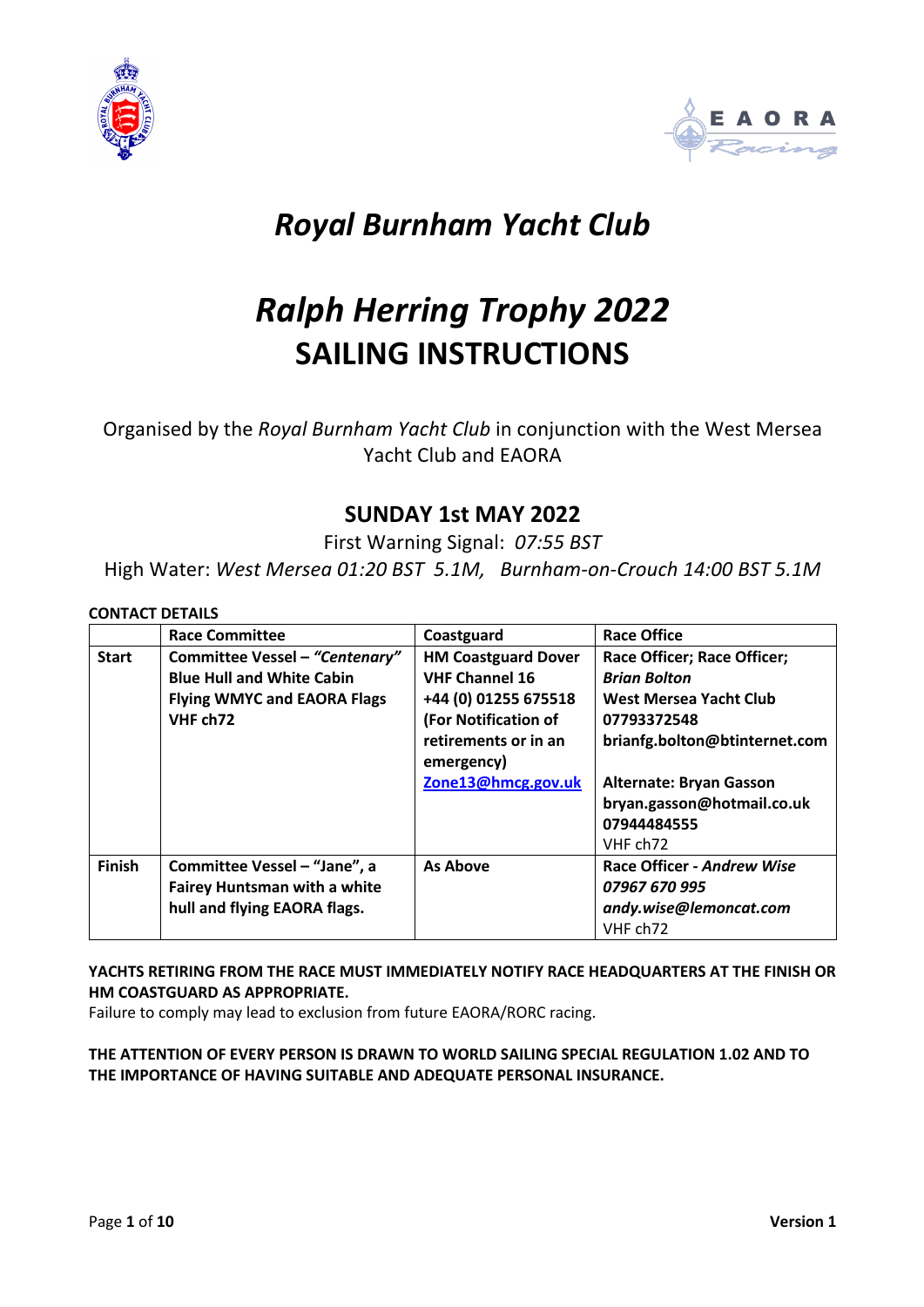



# *Royal Burnham Yacht Club*

# *Ralph Herring Trophy 2022* **SAILING INSTRUCTIONS**

Organised by the *Royal Burnham Yacht Club* in conjunction with the West Mersea Yacht Club and EAORA

## **SUNDAY 1st MAY 2022**

First Warning Signal: *07:55 BST*

High Water: *West Mersea 01:20 BST 5.1M, Burnham-on-Crouch 14:00 BST 5.1M*

#### **CONTACT DETAILS**

|               | <b>Race Committee</b>               | Coastguard                 | <b>Race Office</b>                 |
|---------------|-------------------------------------|----------------------------|------------------------------------|
| <b>Start</b>  | Committee Vessel - "Centenary"      | <b>HM Coastguard Dover</b> | <b>Race Officer; Race Officer;</b> |
|               | <b>Blue Hull and White Cabin</b>    | <b>VHF Channel 16</b>      | <b>Brian Bolton</b>                |
|               | <b>Flying WMYC and EAORA Flags</b>  | +44 (0) 01255 675518       | West Mersea Yacht Club             |
|               | VHF ch72                            | (For Notification of       | 07793372548                        |
|               |                                     | retirements or in an       | brianfg.bolton@btinternet.com      |
|               |                                     | emergency)                 |                                    |
|               |                                     | Zone13@hmcg.gov.uk         | <b>Alternate: Bryan Gasson</b>     |
|               |                                     |                            | bryan.gasson@hotmail.co.uk         |
|               |                                     |                            | 07944484555                        |
|               |                                     |                            | VHF ch72                           |
| <b>Finish</b> | Committee Vessel - "Jane", a        | <b>As Above</b>            | Race Officer - Andrew Wise         |
|               | <b>Fairey Huntsman with a white</b> |                            | 07967 670 995                      |
|               | hull and flying EAORA flags.        |                            | andy.wise@lemoncat.com             |
|               |                                     |                            | VHF ch72                           |

#### **YACHTS RETIRING FROM THE RACE MUST IMMEDIATELY NOTIFY RACE HEADQUARTERS AT THE FINISH OR HM COASTGUARD AS APPROPRIATE.**

Failure to comply may lead to exclusion from future EAORA/RORC racing.

#### **THE ATTENTION OF EVERY PERSON IS DRAWN TO WORLD SAILING SPECIAL REGULATION 1.02 AND TO THE IMPORTANCE OF HAVING SUITABLE AND ADEQUATE PERSONAL INSURANCE.**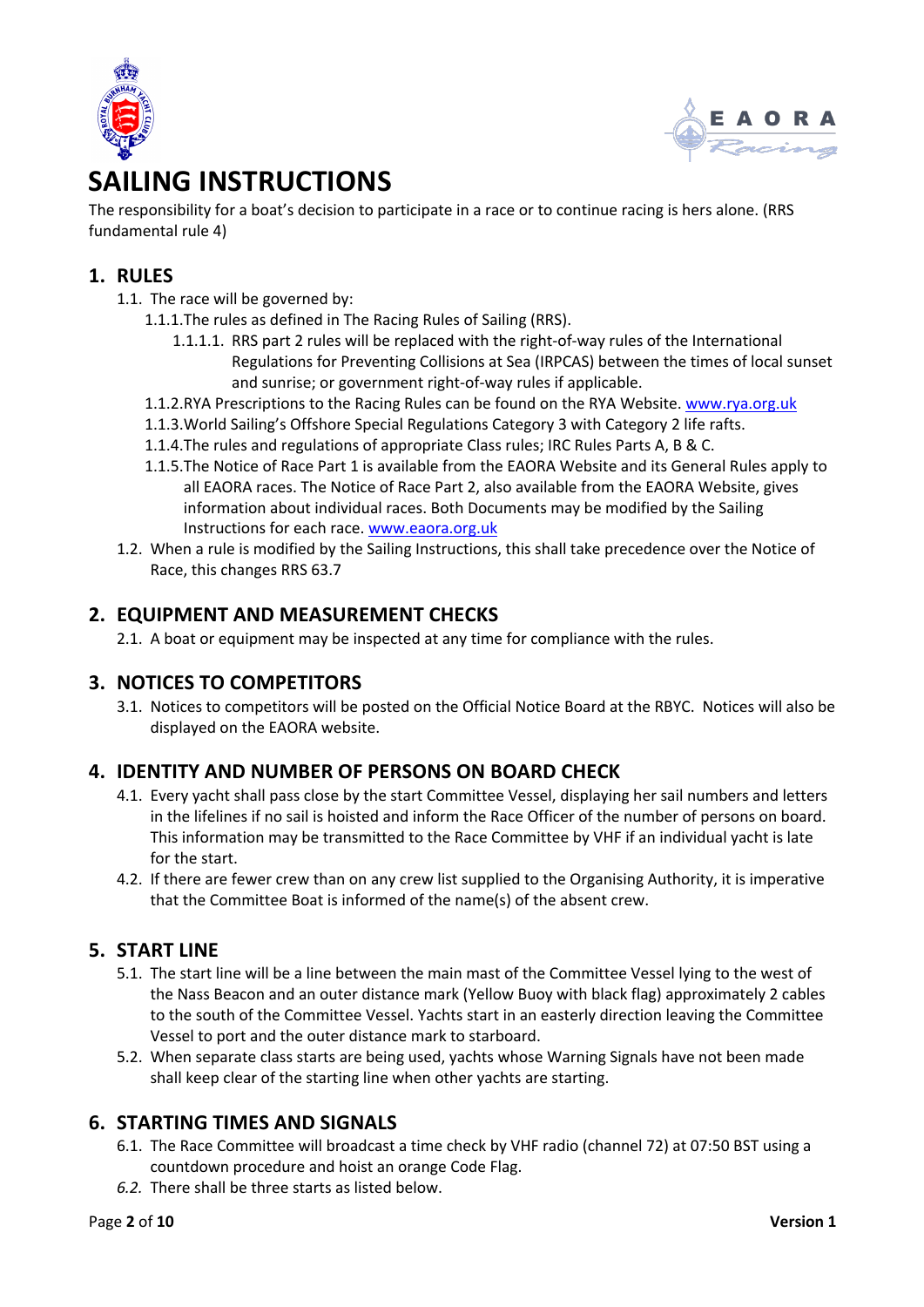



## **SAILING INSTRUCTIONS**

The responsibility for a boat's decision to participate in a race or to continue racing is hers alone. (RRS fundamental rule 4)

### **1. RULES**

- 1.1. The race will be governed by:
	- 1.1.1.The rules as defined in The Racing Rules of Sailing (RRS).
		- 1.1.1.1. RRS part 2 rules will be replaced with the right-of-way rules of the International Regulations for Preventing Collisions at Sea (IRPCAS) between the times of local sunset and sunrise; or government right-of-way rules if applicable.
	- 1.1.2.RYA Prescriptions to the Racing Rules can be found on the RYA Website. www.rya.org.uk
	- 1.1.3.World Sailing's Offshore Special Regulations Category 3 with Category 2 life rafts.
	- 1.1.4.The rules and regulations of appropriate Class rules; IRC Rules Parts A, B & C.
	- 1.1.5.The Notice of Race Part 1 is available from the EAORA Website and its General Rules apply to all EAORA races. The Notice of Race Part 2, also available from the EAORA Website, gives information about individual races. Both Documents may be modified by the Sailing Instructions for each race. www.eaora.org.uk
- 1.2. When a rule is modified by the Sailing Instructions, this shall take precedence over the Notice of Race, this changes RRS 63.7

#### **2. EQUIPMENT AND MEASUREMENT CHECKS**

2.1. A boat or equipment may be inspected at any time for compliance with the rules.

#### **3. NOTICES TO COMPETITORS**

3.1. Notices to competitors will be posted on the Official Notice Board at the RBYC. Notices will also be displayed on the EAORA website.

#### **4. IDENTITY AND NUMBER OF PERSONS ON BOARD CHECK**

- 4.1. Every yacht shall pass close by the start Committee Vessel, displaying her sail numbers and letters in the lifelines if no sail is hoisted and inform the Race Officer of the number of persons on board. This information may be transmitted to the Race Committee by VHF if an individual yacht is late for the start.
- 4.2. If there are fewer crew than on any crew list supplied to the Organising Authority, it is imperative that the Committee Boat is informed of the name(s) of the absent crew.

#### **5. START LINE**

- 5.1. The start line will be a line between the main mast of the Committee Vessel lying to the west of the Nass Beacon and an outer distance mark (Yellow Buoy with black flag) approximately 2 cables to the south of the Committee Vessel. Yachts start in an easterly direction leaving the Committee Vessel to port and the outer distance mark to starboard.
- 5.2. When separate class starts are being used, yachts whose Warning Signals have not been made shall keep clear of the starting line when other yachts are starting.

#### **6. STARTING TIMES AND SIGNALS**

- 6.1. The Race Committee will broadcast a time check by VHF radio (channel 72) at 07:50 BST using a countdown procedure and hoist an orange Code Flag.
- *6.2.* There shall be three starts as listed below.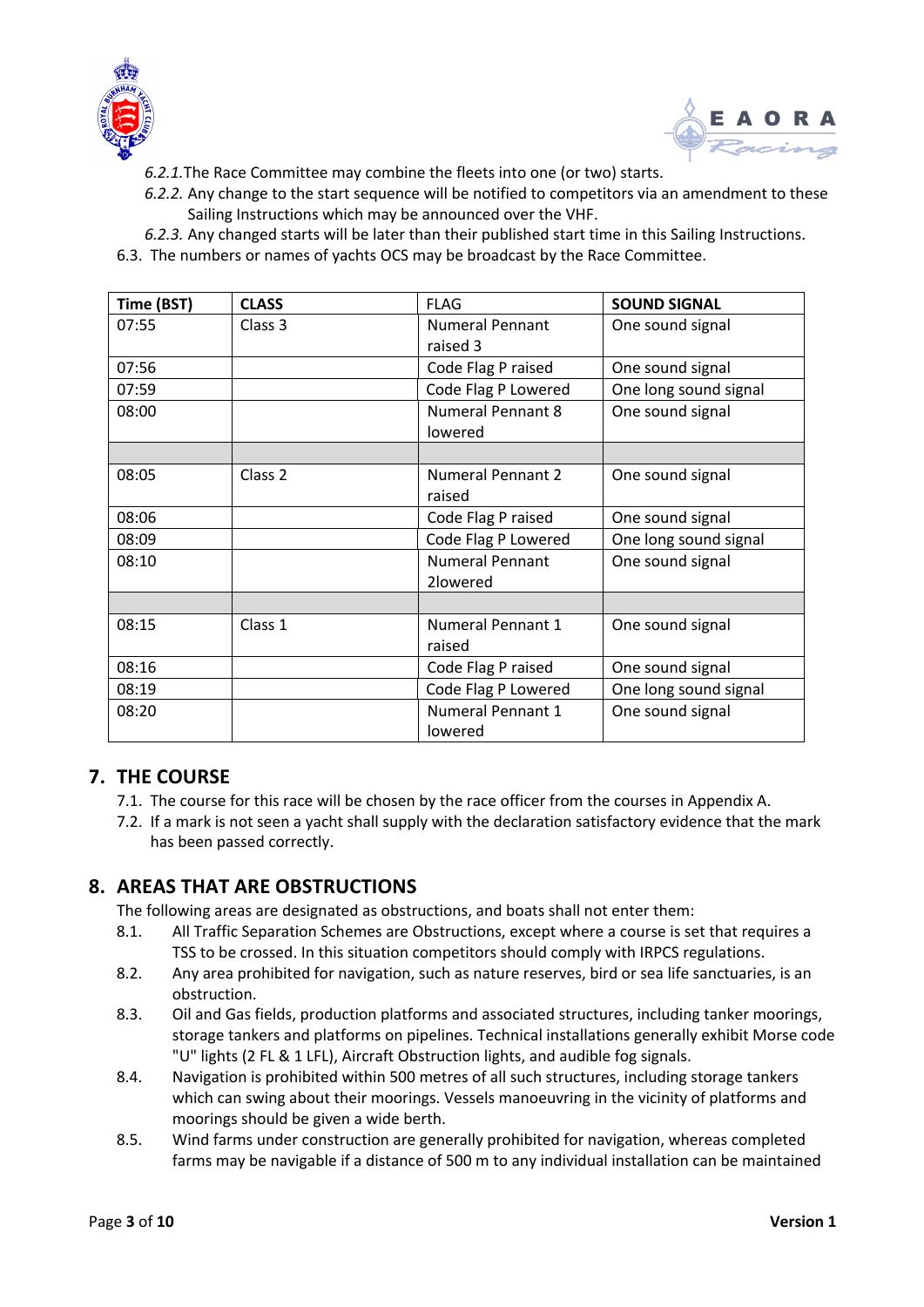



- *6.2.1.*The Race Committee may combine the fleets into one (or two) starts.
- *6.2.2.* Any change to the start sequence will be notified to competitors via an amendment to these Sailing Instructions which may be announced over the VHF.
- *6.2.3.* Any changed starts will be later than their published start time in this Sailing Instructions.
- 6.3. The numbers or names of yachts OCS may be broadcast by the Race Committee.

| Time (BST) | <b>CLASS</b>                 | <b>FLAG</b>              | <b>SOUND SIGNAL</b>   |  |
|------------|------------------------------|--------------------------|-----------------------|--|
| 07:55      | Class 3                      | <b>Numeral Pennant</b>   | One sound signal      |  |
|            |                              | raised 3                 |                       |  |
| 07:56      |                              | Code Flag P raised       | One sound signal      |  |
| 07:59      |                              | Code Flag P Lowered      | One long sound signal |  |
| 08:00      |                              | <b>Numeral Pennant 8</b> | One sound signal      |  |
|            |                              | lowered                  |                       |  |
|            |                              |                          |                       |  |
| 08:05      | Class <sub>2</sub>           | <b>Numeral Pennant 2</b> | One sound signal      |  |
|            |                              | raised                   |                       |  |
| 08:06      |                              | Code Flag P raised       | One sound signal      |  |
| 08:09      |                              | Code Flag P Lowered      | One long sound signal |  |
| 08:10      |                              | <b>Numeral Pennant</b>   | One sound signal      |  |
|            |                              | 2lowered                 |                       |  |
|            |                              |                          |                       |  |
| 08:15      | Class 1<br>Numeral Pennant 1 |                          | One sound signal      |  |
|            |                              | raised                   |                       |  |
| 08:16      |                              | Code Flag P raised       | One sound signal      |  |
| 08:19      |                              | Code Flag P Lowered      | One long sound signal |  |
| 08:20      |                              | <b>Numeral Pennant 1</b> | One sound signal      |  |
|            |                              | lowered                  |                       |  |

#### **7. THE COURSE**

- 7.1. The course for this race will be chosen by the race officer from the courses in Appendix A.
- 7.2. If a mark is not seen a yacht shall supply with the declaration satisfactory evidence that the mark has been passed correctly.

#### **8. AREAS THAT ARE OBSTRUCTIONS**

The following areas are designated as obstructions, and boats shall not enter them:

- 8.1. All Traffic Separation Schemes are Obstructions, except where a course is set that requires a TSS to be crossed. In this situation competitors should comply with IRPCS regulations.
- 8.2. Any area prohibited for navigation, such as nature reserves, bird or sea life sanctuaries, is an obstruction.
- 8.3. Oil and Gas fields, production platforms and associated structures, including tanker moorings, storage tankers and platforms on pipelines. Technical installations generally exhibit Morse code "U" lights (2 FL & 1 LFL), Aircraft Obstruction lights, and audible fog signals.
- 8.4. Navigation is prohibited within 500 metres of all such structures, including storage tankers which can swing about their moorings. Vessels manoeuvring in the vicinity of platforms and moorings should be given a wide berth.
- 8.5. Wind farms under construction are generally prohibited for navigation, whereas completed farms may be navigable if a distance of 500 m to any individual installation can be maintained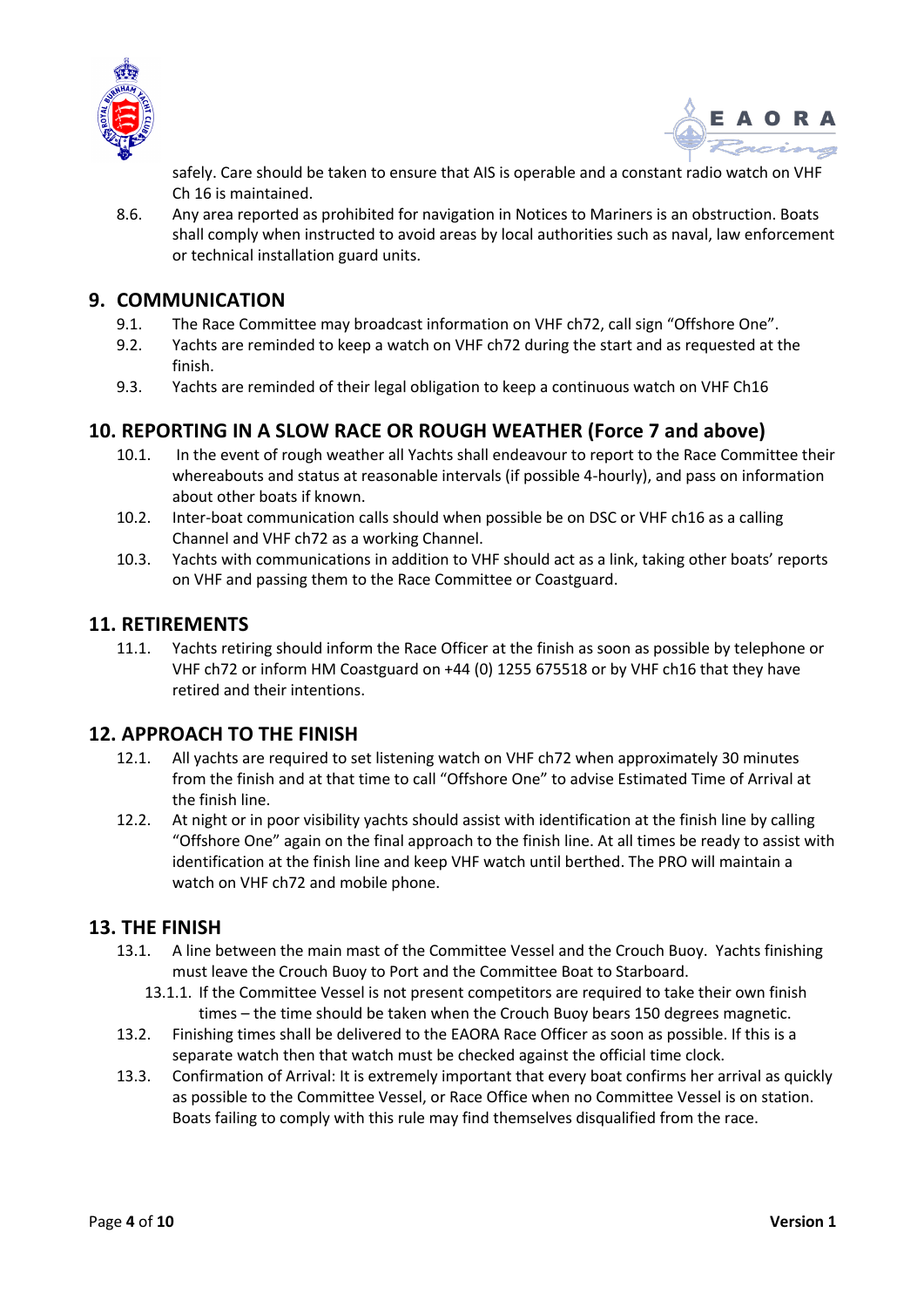



safely. Care should be taken to ensure that AIS is operable and a constant radio watch on VHF Ch 16 is maintained.

8.6. Any area reported as prohibited for navigation in Notices to Mariners is an obstruction. Boats shall comply when instructed to avoid areas by local authorities such as naval, law enforcement or technical installation guard units.

#### **9. COMMUNICATION**

- 9.1. The Race Committee may broadcast information on VHF ch72, call sign "Offshore One".
- 9.2. Yachts are reminded to keep a watch on VHF ch72 during the start and as requested at the finish.
- 9.3. Yachts are reminded of their legal obligation to keep a continuous watch on VHF Ch16

### **10. REPORTING IN A SLOW RACE OR ROUGH WEATHER (Force 7 and above)**

- 10.1. In the event of rough weather all Yachts shall endeavour to report to the Race Committee their whereabouts and status at reasonable intervals (if possible 4-hourly), and pass on information about other boats if known.
- 10.2. Inter-boat communication calls should when possible be on DSC or VHF ch16 as a calling Channel and VHF ch72 as a working Channel.
- 10.3. Yachts with communications in addition to VHF should act as a link, taking other boats' reports on VHF and passing them to the Race Committee or Coastguard.

#### **11. RETIREMENTS**

11.1. Yachts retiring should inform the Race Officer at the finish as soon as possible by telephone or VHF ch72 or inform HM Coastguard on +44 (0) 1255 675518 or by VHF ch16 that they have retired and their intentions.

#### **12. APPROACH TO THE FINISH**

- 12.1. All yachts are required to set listening watch on VHF ch72 when approximately 30 minutes from the finish and at that time to call "Offshore One" to advise Estimated Time of Arrival at the finish line.
- 12.2. At night or in poor visibility yachts should assist with identification at the finish line by calling "Offshore One" again on the final approach to the finish line. At all times be ready to assist with identification at the finish line and keep VHF watch until berthed. The PRO will maintain a watch on VHF ch72 and mobile phone.

#### **13. THE FINISH**

- 13.1. A line between the main mast of the Committee Vessel and the Crouch Buoy. Yachts finishing must leave the Crouch Buoy to Port and the Committee Boat to Starboard.
	- 13.1.1. If the Committee Vessel is not present competitors are required to take their own finish times – the time should be taken when the Crouch Buoy bears 150 degrees magnetic.
- 13.2. Finishing times shall be delivered to the EAORA Race Officer as soon as possible. If this is a separate watch then that watch must be checked against the official time clock.
- 13.3. Confirmation of Arrival: It is extremely important that every boat confirms her arrival as quickly as possible to the Committee Vessel, or Race Office when no Committee Vessel is on station. Boats failing to comply with this rule may find themselves disqualified from the race.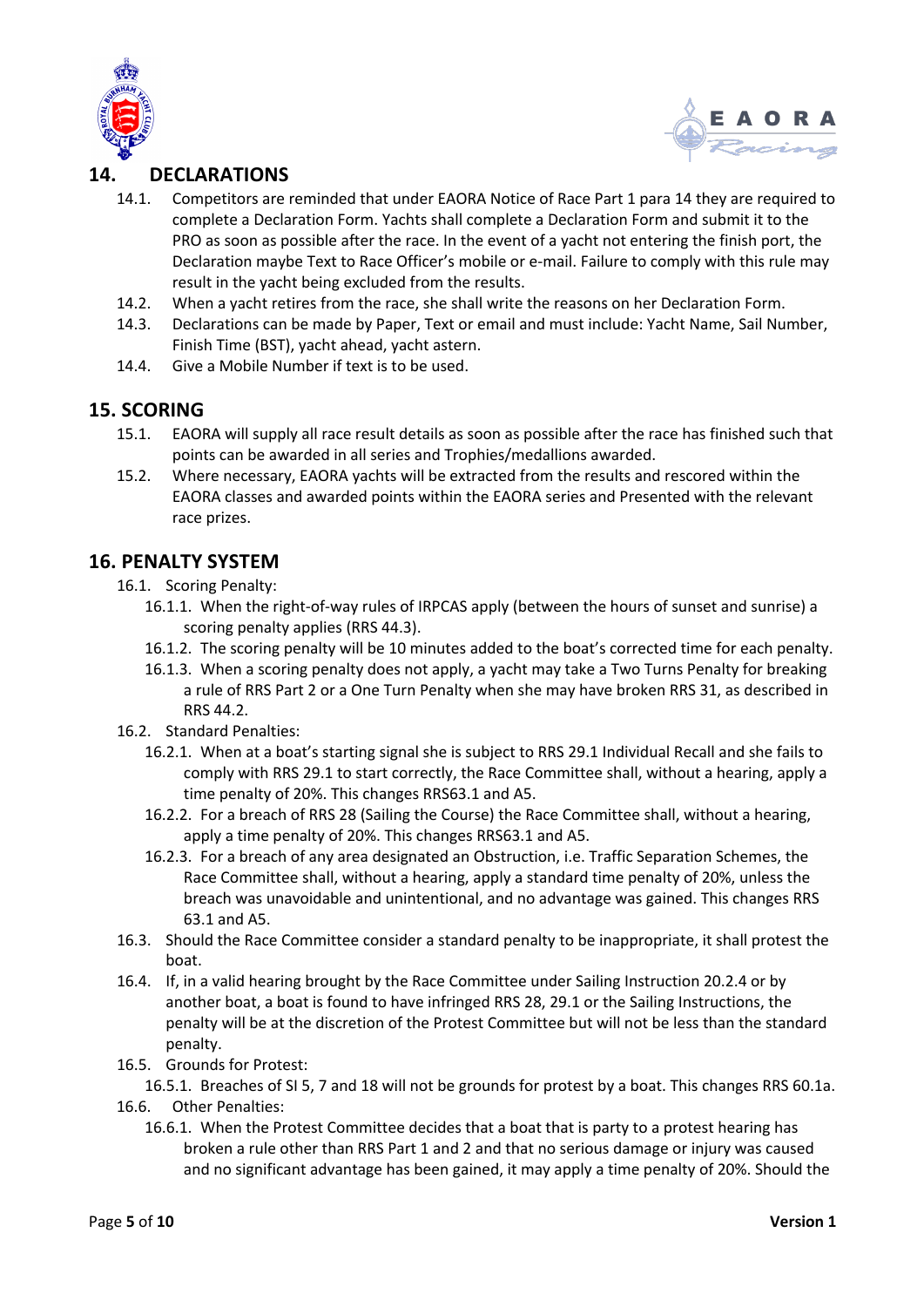



## **14. DECLARATIONS**

- 14.1. Competitors are reminded that under EAORA Notice of Race Part 1 para 14 they are required to complete a Declaration Form. Yachts shall complete a Declaration Form and submit it to the PRO as soon as possible after the race. In the event of a yacht not entering the finish port, the Declaration maybe Text to Race Officer's mobile or e-mail. Failure to comply with this rule may result in the yacht being excluded from the results.
- 14.2. When a yacht retires from the race, she shall write the reasons on her Declaration Form.
- 14.3. Declarations can be made by Paper, Text or email and must include: Yacht Name, Sail Number, Finish Time (BST), yacht ahead, yacht astern.
- 14.4. Give a Mobile Number if text is to be used.

#### **15. SCORING**

- 15.1. EAORA will supply all race result details as soon as possible after the race has finished such that points can be awarded in all series and Trophies/medallions awarded.
- 15.2. Where necessary, EAORA yachts will be extracted from the results and rescored within the EAORA classes and awarded points within the EAORA series and Presented with the relevant race prizes.

### **16. PENALTY SYSTEM**

- 16.1. Scoring Penalty:
	- 16.1.1. When the right-of-way rules of IRPCAS apply (between the hours of sunset and sunrise) a scoring penalty applies (RRS 44.3).
	- 16.1.2. The scoring penalty will be 10 minutes added to the boat's corrected time for each penalty.
	- 16.1.3. When a scoring penalty does not apply, a yacht may take a Two Turns Penalty for breaking a rule of RRS Part 2 or a One Turn Penalty when she may have broken RRS 31, as described in RRS 44.2.
- 16.2. Standard Penalties:
	- 16.2.1. When at a boat's starting signal she is subject to RRS 29.1 Individual Recall and she fails to comply with RRS 29.1 to start correctly, the Race Committee shall, without a hearing, apply a time penalty of 20%. This changes RRS63.1 and A5.
	- 16.2.2. For a breach of RRS 28 (Sailing the Course) the Race Committee shall, without a hearing, apply a time penalty of 20%. This changes RRS63.1 and A5.
	- 16.2.3. For a breach of any area designated an Obstruction, i.e. Traffic Separation Schemes, the Race Committee shall, without a hearing, apply a standard time penalty of 20%, unless the breach was unavoidable and unintentional, and no advantage was gained. This changes RRS 63.1 and A5.
- 16.3. Should the Race Committee consider a standard penalty to be inappropriate, it shall protest the boat.
- 16.4. If, in a valid hearing brought by the Race Committee under Sailing Instruction 20.2.4 or by another boat, a boat is found to have infringed RRS 28, 29.1 or the Sailing Instructions, the penalty will be at the discretion of the Protest Committee but will not be less than the standard penalty.
- 16.5. Grounds for Protest:
	- 16.5.1. Breaches of SI 5, 7 and 18 will not be grounds for protest by a boat. This changes RRS 60.1a.
- 16.6. Other Penalties:
	- 16.6.1. When the Protest Committee decides that a boat that is party to a protest hearing has broken a rule other than RRS Part 1 and 2 and that no serious damage or injury was caused and no significant advantage has been gained, it may apply a time penalty of 20%. Should the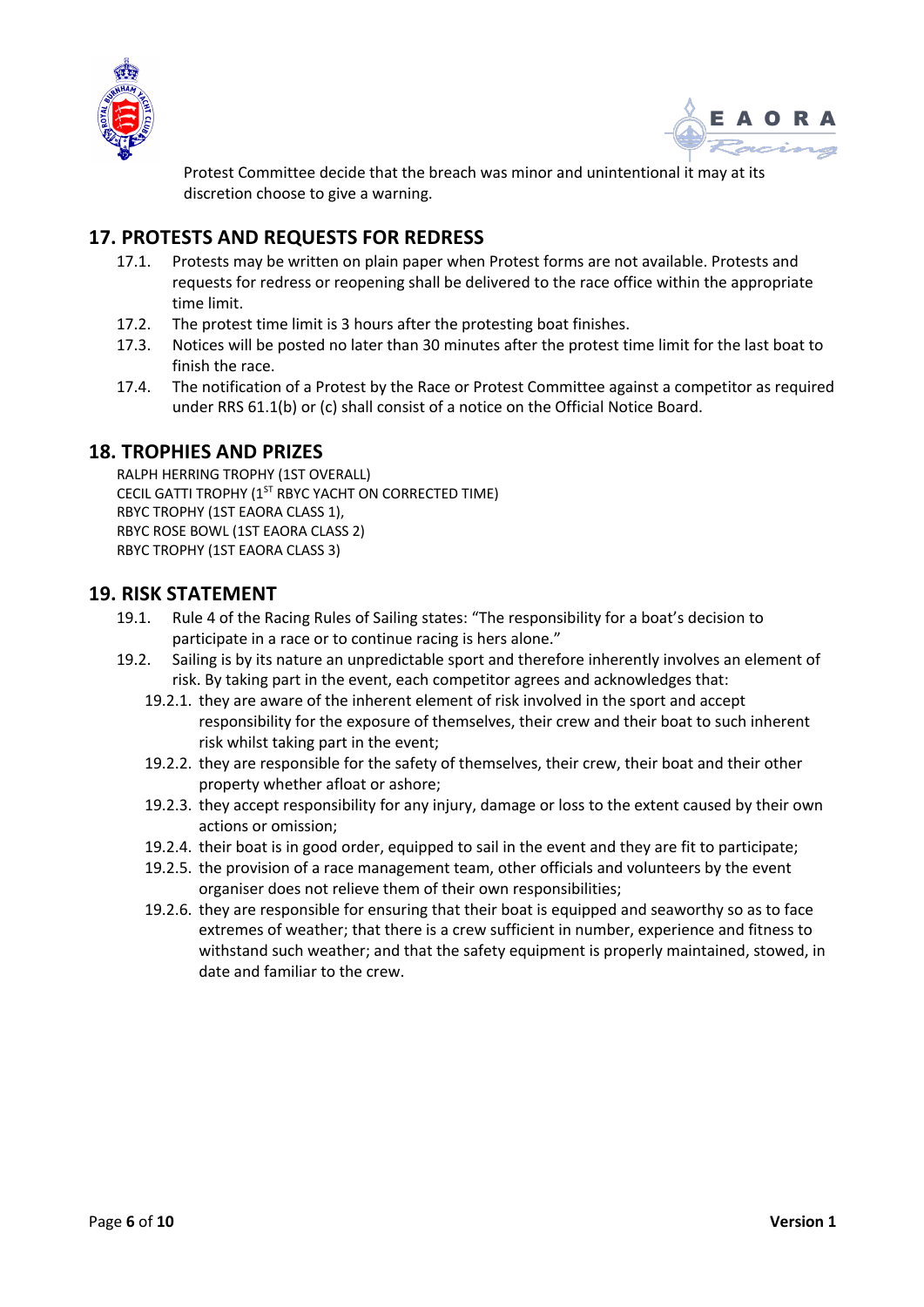



Protest Committee decide that the breach was minor and unintentional it may at its discretion choose to give a warning.

## **17. PROTESTS AND REQUESTS FOR REDRESS**

- 17.1. Protests may be written on plain paper when Protest forms are not available. Protests and requests for redress or reopening shall be delivered to the race office within the appropriate time limit.
- 17.2. The protest time limit is 3 hours after the protesting boat finishes.
- 17.3. Notices will be posted no later than 30 minutes after the protest time limit for the last boat to finish the race.
- 17.4. The notification of a Protest by the Race or Protest Committee against a competitor as required under RRS 61.1(b) or (c) shall consist of a notice on the Official Notice Board.

#### **18. TROPHIES AND PRIZES**

RALPH HERRING TROPHY (1ST OVERALL) CECIL GATTI TROPHY (1<sup>ST</sup> RBYC YACHT ON CORRECTED TIME) RBYC TROPHY (1ST EAORA CLASS 1), RBYC ROSE BOWL (1ST EAORA CLASS 2) RBYC TROPHY (1ST EAORA CLASS 3)

#### **19. RISK STATEMENT**

- 19.1. Rule 4 of the Racing Rules of Sailing states: "The responsibility for a boat's decision to participate in a race or to continue racing is hers alone."
- 19.2. Sailing is by its nature an unpredictable sport and therefore inherently involves an element of risk. By taking part in the event, each competitor agrees and acknowledges that:
	- 19.2.1. they are aware of the inherent element of risk involved in the sport and accept responsibility for the exposure of themselves, their crew and their boat to such inherent risk whilst taking part in the event;
	- 19.2.2. they are responsible for the safety of themselves, their crew, their boat and their other property whether afloat or ashore;
	- 19.2.3. they accept responsibility for any injury, damage or loss to the extent caused by their own actions or omission;
	- 19.2.4. their boat is in good order, equipped to sail in the event and they are fit to participate;
	- 19.2.5. the provision of a race management team, other officials and volunteers by the event organiser does not relieve them of their own responsibilities;
	- 19.2.6. they are responsible for ensuring that their boat is equipped and seaworthy so as to face extremes of weather; that there is a crew sufficient in number, experience and fitness to withstand such weather; and that the safety equipment is properly maintained, stowed, in date and familiar to the crew.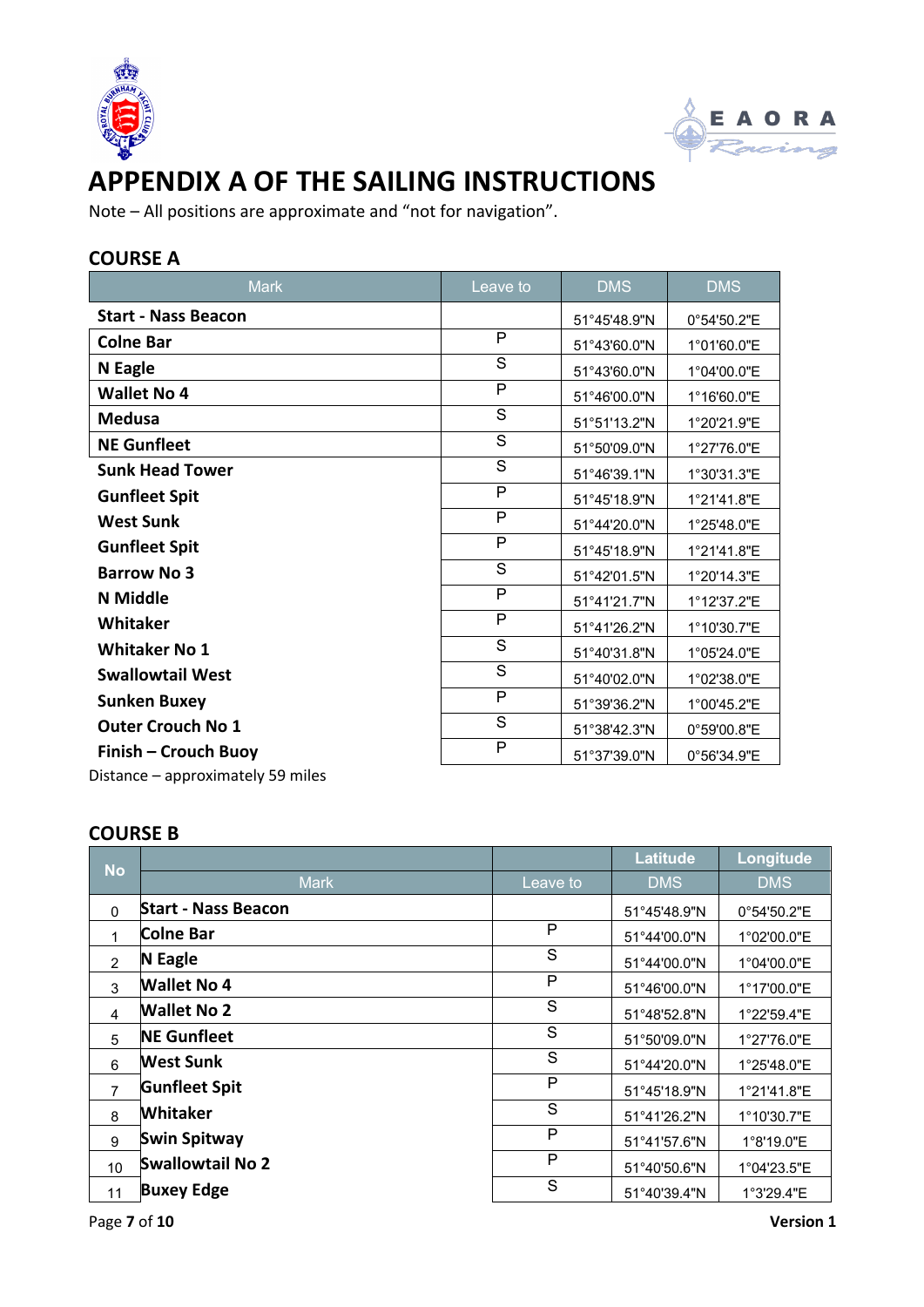



## **APPENDIX A OF THE SAILING INSTRUCTIONS**

Note – All positions are approximate and "not for navigation".

## **COURSE A**

| <b>Mark</b>                       | Leave to       | <b>DMS</b>   | <b>DMS</b>  |  |
|-----------------------------------|----------------|--------------|-------------|--|
| <b>Start - Nass Beacon</b>        |                | 51°45'48.9"N | 0°54'50.2"E |  |
| <b>Colne Bar</b>                  | P              | 51°43'60.0"N | 1°01'60.0"E |  |
| <b>N</b> Eagle                    | S              | 51°43'60.0"N | 1°04'00.0"E |  |
| <b>Wallet No 4</b>                | P              | 51°46'00.0"N | 1°16'60.0"E |  |
| <b>Medusa</b>                     | S              | 51°51'13.2"N | 1°20'21.9"E |  |
| <b>NE Gunfleet</b>                | S              | 51°50'09.0"N | 1°27'76.0"E |  |
| <b>Sunk Head Tower</b>            | S              | 51°46'39.1"N | 1°30'31.3"E |  |
| <b>Gunfleet Spit</b>              | P              | 51°45'18.9"N | 1°21'41.8"E |  |
| <b>West Sunk</b>                  | $\mathsf{P}$   | 51°44'20.0"N | 1°25'48.0"E |  |
| <b>Gunfleet Spit</b>              | $\mathsf{P}$   | 51°45'18.9"N | 1°21'41.8"E |  |
| <b>Barrow No 3</b>                | S              | 51°42'01.5"N | 1°20'14.3"E |  |
| <b>N</b> Middle                   | $\mathsf{P}$   | 51°41'21.7"N | 1°12'37.2"E |  |
| Whitaker                          | $\mathsf{P}$   | 51°41'26.2"N | 1°10'30.7"E |  |
| <b>Whitaker No 1</b>              | S              | 51°40'31.8"N | 1°05'24.0"E |  |
| <b>Swallowtail West</b>           | S              | 51°40'02.0"N | 1°02'38.0"E |  |
| <b>Sunken Buxey</b>               | $\overline{P}$ | 51°39'36.2"N | 1°00'45.2"E |  |
| <b>Outer Crouch No 1</b>          | S              | 51°38'42.3"N | 0°59'00.8"E |  |
| Finish - Crouch Buoy              | $\mathsf{P}$   | 51°37'39.0"N | 0°56'34.9"E |  |
| Distance - approximately 59 miles |                |              |             |  |

## **COURSE B**

| <b>No</b>      |                            |          | <b>Latitude</b> | Longitude   |
|----------------|----------------------------|----------|-----------------|-------------|
|                | <b>Mark</b>                | Leave to | <b>DMS</b>      | <b>DMS</b>  |
| $\mathbf{0}$   | <b>Start - Nass Beacon</b> |          | 51°45'48.9"N    | 0°54'50.2"E |
| 1              | <b>Colne Bar</b>           | P        | 51°44'00.0"N    | 1°02'00.0"E |
| 2              | <b>N</b> Eagle             | S        | 51°44'00.0"N    | 1°04'00.0"E |
| 3              | <b>Wallet No 4</b>         | P        | 51°46'00.0"N    | 1°17'00.0"E |
| 4              | <b>Wallet No 2</b>         | S        | 51°48'52.8"N    | 1°22'59.4"E |
| 5              | <b>NE Gunfleet</b>         | S        | 51°50'09.0"N    | 1°27'76.0"E |
| 6              | <b>West Sunk</b>           | S        | 51°44'20.0"N    | 1°25'48.0"E |
| $\overline{7}$ | <b>Gunfleet Spit</b>       | P        | 51°45'18.9"N    | 1°21'41.8"E |
| 8              | <b>Whitaker</b>            | S        | 51°41'26.2"N    | 1°10'30.7"E |
| 9              | <b>Swin Spitway</b>        | P        | 51°41'57.6"N    | 1°8'19.0"E  |
| 10             | <b>Swallowtail No 2</b>    | P        | 51°40'50.6"N    | 1°04'23.5"E |
| 11             | <b>Buxey Edge</b>          | S        | 51°40'39.4"N    | 1°3'29.4"E  |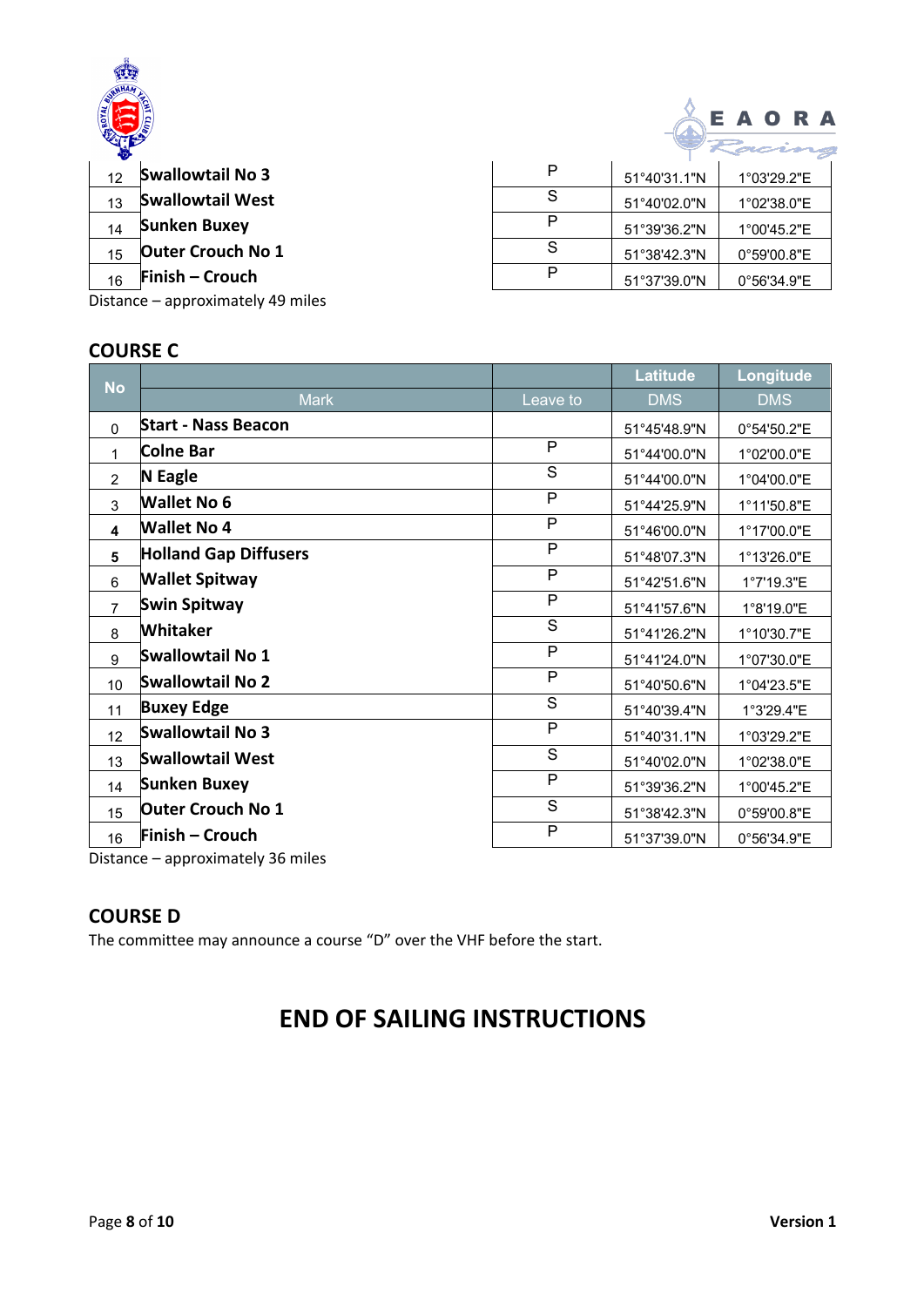

| P | 51°40'31.1"N          | 1°03'29.2"E           |  |  |
|---|-----------------------|-----------------------|--|--|
| S | $51^{\circ}40'02.0"N$ | 1°02'38.0"E           |  |  |
|   | 51°39'36.2"N          | 1°00'45.2"E           |  |  |
| S | 51°38'42.3"N          | 0°59'00.8"E           |  |  |
|   | $51^{\circ}37'39.0"N$ | $0^{\circ}56'34.9''E$ |  |  |
|   |                       |                       |  |  |

EAORA

Distance – approximately 49 miles

## **COURSE C**

|                                   |                              |              | <b>Latitude</b> | Longitude   |
|-----------------------------------|------------------------------|--------------|-----------------|-------------|
| <b>No</b>                         | <b>Mark</b>                  | Leave to     | <b>DMS</b>      | <b>DMS</b>  |
| $\Omega$                          | <b>Start - Nass Beacon</b>   |              | 51°45'48.9"N    | 0°54'50.2"E |
| 1                                 | <b>Colne Bar</b>             | P            | 51°44'00.0"N    | 1°02'00.0"E |
| $\overline{2}$                    | <b>N</b> Eagle               | S            | 51°44'00.0"N    | 1°04'00.0"E |
| 3                                 | <b>Wallet No 6</b>           | P            | 51°44'25.9"N    | 1°11'50.8"E |
| 4                                 | <b>Wallet No 4</b>           | P            | 51°46'00.0"N    | 1°17'00.0"E |
| 5                                 | <b>Holland Gap Diffusers</b> | P            | 51°48'07.3"N    | 1°13'26.0"E |
| 6                                 | <b>Wallet Spitway</b>        | P            | 51°42'51.6"N    | 1°7'19.3"E  |
| $\overline{7}$                    | Swin Spitway                 | $\mathsf{P}$ | 51°41'57.6"N    | 1°8'19.0"E  |
| 8                                 | Whitaker                     | S            | 51°41'26.2"N    | 1°10'30.7"E |
| 9                                 | Swallowtail No 1             | $\mathsf{P}$ | 51°41'24.0"N    | 1°07'30.0"E |
| 10                                | Swallowtail No 2             | P            | 51°40'50.6"N    | 1°04'23.5"E |
| 11                                | <b>Buxey Edge</b>            | S            | 51°40'39.4"N    | 1°3'29.4"E  |
| 12                                | <b>Swallowtail No 3</b>      | $\mathsf{P}$ | 51°40'31.1"N    | 1°03'29.2"E |
| 13                                | <b>Swallowtail West</b>      | S            | 51°40'02.0"N    | 1°02'38.0"E |
| 14                                | Sunken Buxey                 | P            | 51°39'36.2"N    | 1°00'45.2"E |
| 15                                | <b>Outer Crouch No 1</b>     | S            | 51°38'42.3"N    | 0°59'00.8"E |
| 16                                | Finish – Crouch              | ${\sf P}$    | 51°37'39.0"N    | 0°56'34.9"E |
| Distance - approximately 36 miles |                              |              |                 |             |

## **COURSE D**

The committee may announce a course "D" over the VHF before the start.

## **END OF SAILING INSTRUCTIONS**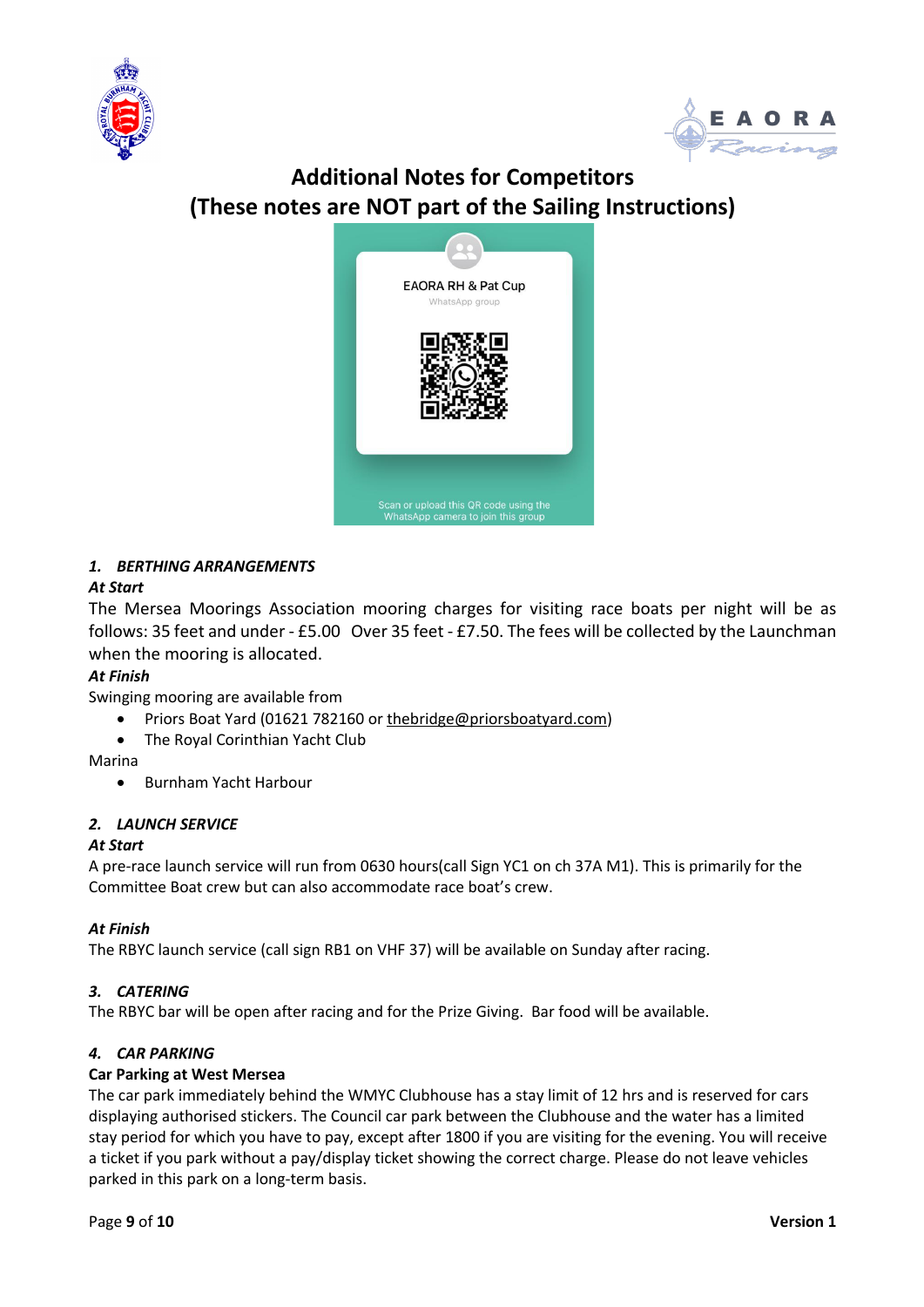



## **Additional Notes for Competitors (These notes are NOT part of the Sailing Instructions)**



#### *1. BERTHING ARRANGEMENTS*

#### *At Start*

The Mersea Moorings Association mooring charges for visiting race boats per night will be as follows: 35 feet and under - £5.00 Over 35 feet - £7.50. The fees will be collected by the Launchman when the mooring is allocated.

#### *At Finish*

Swinging mooring are available from

- Priors Boat Yard (01621 782160 or thebridge@priorsboatyard.com)
- The Royal Corinthian Yacht Club

Marina

• Burnham Yacht Harbour

#### *2. LAUNCH SERVICE*

#### *At Start*

A pre-race launch service will run from 0630 hours(call Sign YC1 on ch 37A M1). This is primarily for the Committee Boat crew but can also accommodate race boat's crew.

#### *At Finish*

The RBYC launch service (call sign RB1 on VHF 37) will be available on Sunday after racing.

#### *3. CATERING*

The RBYC bar will be open after racing and for the Prize Giving. Bar food will be available.

#### *4. CAR PARKING*

#### **Car Parking at West Mersea**

The car park immediately behind the WMYC Clubhouse has a stay limit of 12 hrs and is reserved for cars displaying authorised stickers. The Council car park between the Clubhouse and the water has a limited stay period for which you have to pay, except after 1800 if you are visiting for the evening. You will receive a ticket if you park without a pay/display ticket showing the correct charge. Please do not leave vehicles parked in this park on a long-term basis.